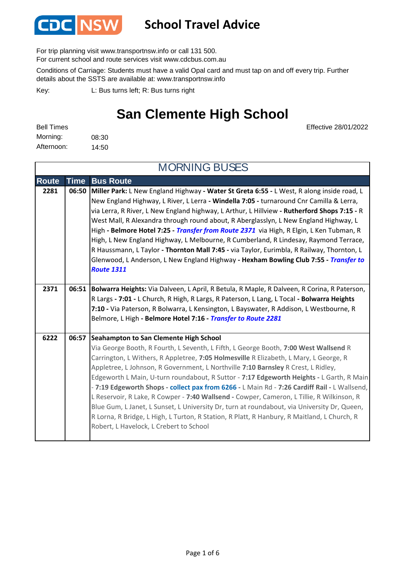

### **School Travel Advice**

For trip planning visit www.transportnsw.info or call 131 500.

For current school and route services visit www.cdcbus.com.au

Conditions of Carriage: Students must have a valid Opal card and must tap on and off every trip. Further details about the SSTS are available at: www.transportnsw.info

L: Bus turns left; R: Bus turns right Key:

### **San Clemente High School**

Effective 28/01/2022

| <b>Bell Times</b> |       |
|-------------------|-------|
| Morning:          | 08:30 |
| Afternoon:        | 14:50 |

**Route Time Bus Route 2281 06:50 Miller Park:** L New England Highway **- Water St Greta 6:55 -** L West, R along inside road, L New England Highway, L River, L Lerra **- Windella 7:05 -** turnaround Cnr Camilla & Lerra, via Lerra, R River, L New England highway, L Arthur, L Hillview **- Rutherford Shops 7:15 -** R West Mall, R Alexandra through round about, R Aberglasslyn, L New England Highway, L High **- Belmore Hotel 7:25 -** *Transfer from Route 2371* via High, R Elgin, L Ken Tubman, R High, L New England Highway, L Melbourne, R Cumberland, R Lindesay, Raymond Terrace, R Haussmann, L Taylor **- Thornton Mall 7:45 -** via Taylor, Eurimbla, R Railway, Thornton, L Glenwood, L Anderson, L New England Highway **- Hexham Bowling Club 7:55 -** *Transfer to Route 1311* **2371 06:51 Bolwarra Heights:** Via Dalveen, L April, R Betula, R Maple, R Dalveen, R Corina, R Paterson, R Largs **- 7:01 -** L Church, R High, R Largs, R Paterson, L Lang, L Tocal **- Bolwarra Heights 7:10 -** Via Paterson, R Bolwarra, L Kensington, L Bayswater, R Addison, L Westbourne, R Belmore, L High **- Belmore Hotel 7:16 -** *Transfer to Route 2281* **Seahampton to San Clemente High School** Via George Booth, R Fourth, L Seventh, L Fifth, L George Booth, **7:00 West Wallsend** R Carrington, L Withers, R Appletree, **7:05 Holmesville** R Elizabeth, L Mary, L George, R Appletree, L Johnson, R Government, L Northville **7:10 Barnsley** R Crest, L Ridley, Edgeworth L Main, U-turn roundabout, R Suttor - **7:17 Edgeworth Heights -** L Garth, R Main - **7:19 Edgeworth Shops - collect pax from 6266 -** L Main Rd - **7:26 Cardiff Rail -** L Wallsend, L Reservoir, R Lake, R Cowper - **7:40 Wallsend -** Cowper, Cameron, L Tillie, R Wilkinson, R Blue Gum, L Janet, L Sunset, L University Dr, turn at roundabout, via University Dr, Queen, R Lorna, R Bridge, L High, L Turton, R Station, R Platt, R Hanbury, R Maitland, L Church, R Robert, L Havelock, L Crebert to School MORNING BUSES **6222 06:57**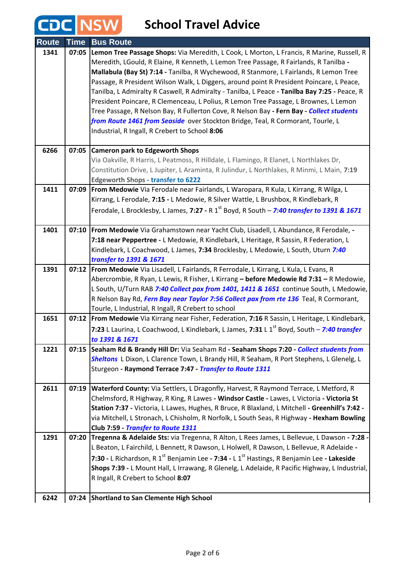| <b>Route</b> | <b>Time</b> | <b>Bus Route</b>                                                                                       |
|--------------|-------------|--------------------------------------------------------------------------------------------------------|
| 1341         |             | 07:05 Lemon Tree Passage Shops: Via Meredith, L Cook, L Morton, L Francis, R Marine, Russell, R        |
|              |             | Meredith, LGould, R Elaine, R Kenneth, L Lemon Tree Passage, R Fairlands, R Tanilba -                  |
|              |             | Mallabula (Bay St) 7:14 - Tanilba, R Wychewood, R Stanmore, L Fairlands, R Lemon Tree                  |
|              |             | Passage, R President Wilson Walk, L Diggers, around point R President Poincare, L Peace,               |
|              |             | Tanilba, L Admiralty R Caswell, R Admiralty - Tanilba, L Peace - Tanilba Bay 7:25 - Peace, R           |
|              |             | President Poincare, R Clemenceau, L Polius, R Lemon Tree Passage, L Brownes, L Lemon                   |
|              |             | Tree Passage, R Nelson Bay, R Fullerton Cove, R Nelson Bay - Fern Bay - Collect students               |
|              |             | from Route 1461 from Seaside over Stockton Bridge, Teal, R Cormorant, Tourle, L                        |
|              |             | Industrial, R Ingall, R Crebert to School 8:06                                                         |
|              |             |                                                                                                        |
| 6266         | 07:05       | <b>Cameron park to Edgeworth Shops</b>                                                                 |
|              |             | Via Oakville, R Harris, L Peatmoss, R Hilldale, L Flamingo, R Elanet, L Northlakes Dr,                 |
|              |             | Constitution Drive, L Jupiter, L Araminta, R Julindur, L Northlakes, R Minmi, L Main, 7:19             |
|              |             | <b>Edgeworth Shops - transfer to 6222</b>                                                              |
| 1411         |             | 07:09   From Medowie Via Ferodale near Fairlands, L Waropara, R Kula, L Kirrang, R Wilga, L            |
|              |             | Kirrang, L Ferodale, 7:15 - L Medowie, R Silver Wattle, L Brushbox, R Kindlebark, R                    |
|              |             | Ferodale, L Brocklesby, L James, 7:27 - R 1 <sup>st</sup> Boyd, R South - 7:40 transfer to 1391 & 1671 |
|              |             |                                                                                                        |
| 1401         |             | 07:10   From Medowie Via Grahamstown near Yacht Club, Lisadell, L Abundance, R Ferodale, -             |
|              |             | 7:18 near Peppertree - L Medowie, R Kindlebark, L Heritage, R Sassin, R Federation, L                  |
|              |             | Kindlebark, L Coachwood, L James, 7:34 Brocklesby, L Medowie, L South, Uturn 7:40                      |
|              |             | transfer to 1391 & 1671                                                                                |
| 1391         |             | 07:12   From Medowie Via Lisadell, L Fairlands, R Ferrodale, L Kirrang, L Kula, L Evans, R             |
|              |             | Abercrombie, R Ryan, L Lewis, R Fisher, L Kirrang - before Medowie Rd 7:31 - R Medowie,                |
|              |             | L South, U/Turn RAB 7:40 Collect pax from 1401, 1411 & 1651 continue South, L Medowie,                 |
|              |             | R Nelson Bay Rd, Fern Bay near Taylor 7:56 Collect pax from rte 136 Teal, R Cormorant,                 |
|              |             | Tourle, L Industrial, R Ingall, R Crebert to school                                                    |
| 1651         |             | 07:12 From Medowie Via Kirrang near Fisher, Federation, 7:16 R Sassin, L Heritage, L Kindlebark,       |
|              |             | 7:23 L Laurina, L Coachwood, L Kindlebark, L James, 7:31 L 1 <sup>st</sup> Boyd, South - 7:40 transfer |
|              |             | to 1391 & 1671                                                                                         |
| 1221         | 07:15       | Seaham Rd & Brandy Hill Dr: Via Seaham Rd - Seaham Shops 7:20 - Collect students from                  |
|              |             | Sheltons L Dixon, L Clarence Town, L Brandy Hill, R Seaham, R Port Stephens, L Glenelg, L              |
|              |             | Sturgeon - Raymond Terrace 7:47 - Transfer to Route 1311                                               |
|              |             |                                                                                                        |
| 2611         | 07:19       | Waterford County: Via Settlers, L Dragonfly, Harvest, R Raymond Terrace, L Metford, R                  |
|              |             | Chelmsford, R Highway, R King, R Lawes - Windsor Castle - Lawes, L Victoria - Victoria St              |
|              |             | Station 7:37 - Victoria, L Lawes, Hughes, R Bruce, R Blaxland, L Mitchell - Greenhill's 7:42 -         |
|              |             | via Mitchell, L Stronach, L Chisholm, R Norfolk, L South Seas, R Highway - Hexham Bowling              |
|              |             | Club 7:59 - Transfer to Route 1311                                                                     |
| 1291         | 07:20       | Tregenna & Adelaide Sts: via Tregenna, R Alton, L Rees James, L Bellevue, L Dawson - 7:28 -            |
|              |             | L Beaton, L Fairchild, L Bennett, R Dawson, L Holwell, R Dawson, L Bellevue, R Adelaide -              |
|              |             | 7:30 - L Richardson, R $1^{st}$ Benjamin Lee - 7:34 - L $1^{st}$ Hastings, R Benjamin Lee - Lakeside   |
|              |             | Shops 7:39 - L Mount Hall, L Irrawang, R Glenelg, L Adelaide, R Pacific Highway, L Industrial,         |
|              |             | R Ingall, R Crebert to School 8:07                                                                     |
|              |             |                                                                                                        |
| 6242         |             | 07:24 Shortland to San Clemente High School                                                            |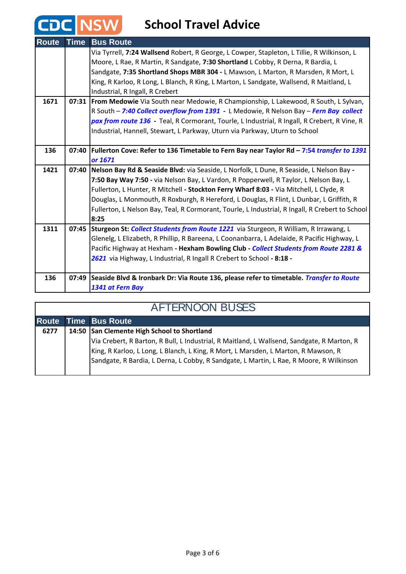| <b>Route</b> | <b>Time</b> | <b>Bus Route</b>                                                                                |
|--------------|-------------|-------------------------------------------------------------------------------------------------|
|              |             | Via Tyrrell, 7:24 Wallsend Robert, R George, L Cowper, Stapleton, L Tillie, R Wilkinson, L      |
|              |             | Moore, L Rae, R Martin, R Sandgate, 7:30 Shortland L Cobby, R Derna, R Bardia, L                |
|              |             | Sandgate, 7:35 Shortland Shops MBR 304 - L Mawson, L Marton, R Marsden, R Mort, L               |
|              |             | King, R Karloo, R Long, L Blanch, R King, L Marton, L Sandgate, Wallsend, R Maitland, L         |
|              |             | Industrial, R Ingall, R Crebert                                                                 |
| 1671         |             | 07:31 From Medowie Via South near Medowie, R Championship, L Lakewood, R South, L Sylvan,       |
|              |             | R South - 7:40 Collect overflow from 1391 - L Medowie, R Nelson Bay - Fern Bay collect          |
|              |             | pax from route 136 - Teal, R Cormorant, Tourle, L Industrial, R Ingall, R Crebert, R Vine, R    |
|              |             | Industrial, Hannell, Stewart, L Parkway, Uturn via Parkway, Uturn to School                     |
|              |             |                                                                                                 |
| 136          |             | 07:40 Fullerton Cove: Refer to 136 Timetable to Fern Bay near Taylor Rd - 7:54 transfer to 1391 |
|              |             | or 1671                                                                                         |
| 1421         |             | 07:40   Nelson Bay Rd & Seaside Blvd: via Seaside, L Norfolk, L Dune, R Seaside, L Nelson Bay - |
|              |             | 7:50 Bay Way 7:50 - via Nelson Bay, L Vardon, R Popperwell, R Taylor, L Nelson Bay, L           |
|              |             | Fullerton, L Hunter, R Mitchell - Stockton Ferry Wharf 8:03 - Via Mitchell, L Clyde, R          |
|              |             | Douglas, L Monmouth, R Roxburgh, R Hereford, L Douglas, R Flint, L Dunbar, L Griffith, R        |
|              |             | Fullerton, L Nelson Bay, Teal, R Cormorant, Tourle, L Industrial, R Ingall, R Crebert to School |
|              |             | 8:25                                                                                            |
| 1311         |             | 07:45 Sturgeon St: Collect Students from Route 1221 via Sturgeon, R William, R Irrawang, L      |
|              |             | Glenelg, L Elizabeth, R Phillip, R Bareena, L Coonanbarra, L Adelaide, R Pacific Highway, L     |
|              |             | Pacific Highway at Hexham - Hexham Bowling Club - Collect Students from Route 2281 &            |
|              |             | 2621 via Highway, L Industrial, R Ingall R Crebert to School - 8:18 -                           |
|              |             |                                                                                                 |
| 136          |             | 07:49 Seaside Blvd & Ironbark Dr: Via Route 136, please refer to timetable. Transfer to Route   |
|              |             | 1341 at Fern Bay                                                                                |

#### AFTERNOON BUSES

|      | <b>Route Time Bus Route</b>                                                                |
|------|--------------------------------------------------------------------------------------------|
| 6277 | 14:50 San Clemente High School to Shortland                                                |
|      | Via Crebert, R Barton, R Bull, L Industrial, R Maitland, L Wallsend, Sandgate, R Marton, R |
|      | King, R Karloo, L Long, L Blanch, L King, R Mort, L Marsden, L Marton, R Mawson, R         |
|      | Sandgate, R Bardia, L Derna, L Cobby, R Sandgate, L Martin, L Rae, R Moore, R Wilkinson    |
|      |                                                                                            |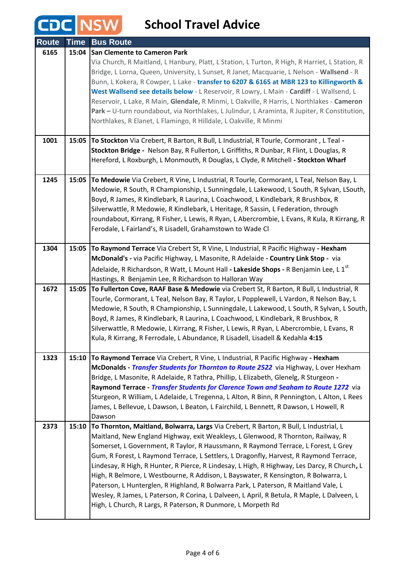| <b>Route</b> | <b>Time</b> | <b>Bus Route</b>                                                                                                                                                             |
|--------------|-------------|------------------------------------------------------------------------------------------------------------------------------------------------------------------------------|
| 6165         | 15:04       | <b>San Clemente to Cameron Park</b>                                                                                                                                          |
|              |             | Via Church, R Maitland, L Hanbury, Platt, L Station, L Turton, R High, R Harriet, L Station, R                                                                               |
|              |             | Bridge, L Lorna, Queen, University, L Sunset, R Janet, Macquarie, L Nelson - Wallsend - R                                                                                    |
|              |             | Bunn, L Kokera, R Cowper, L Lake - transfer to 6207 & 6165 at MBR 123 to Killingworth &                                                                                      |
|              |             | West Wallsend see details below - L Reservoir, R Lowry, L Main - Cardiff - L Wallsend, L                                                                                     |
|              |             | Reservoir, L Lake, R Main, Glendale, R Minmi, L Oakville, R Harris, L Northlakes - Cameron                                                                                   |
|              |             | Park - U-turn roundabout, via Northlakes, L Julindur, L Araminta, R Jupiter, R Constitution,                                                                                 |
|              |             | Northlakes, R Elanet, L Flamingo, R Hilldale, L Oakville, R Minmi                                                                                                            |
|              |             |                                                                                                                                                                              |
| 1001         | 15:05       | To Stockton Via Crebert, R Barton, R Bull, L Industrial, R Tourle, Cormorant, L Teal -                                                                                       |
|              |             | Stockton Bridge - Nelson Bay, R Fullerton, L Griffiths, R Dunbar, R Flint, L Douglas, R<br>Hereford, L Roxburgh, L Monmouth, R Douglas, L Clyde, R Mitchell - Stockton Wharf |
|              |             |                                                                                                                                                                              |
| 1245         | 15:05       | To Medowie Via Crebert, R Vine, L Industrial, R Tourle, Cormorant, L Teal, Nelson Bay, L                                                                                     |
|              |             | Medowie, R South, R Championship, L Sunningdale, L Lakewood, L South, R Sylvan, L South,                                                                                     |
|              |             | Boyd, R James, R Kindlebark, R Laurina, L Coachwood, L Kindlebark, R Brushbox, R                                                                                             |
|              |             | Silverwattle, R Medowie, R Kindlebark, L Heritage, R Sassin, L Federation, through                                                                                           |
|              |             | roundabout, Kirrang, R Fisher, L Lewis, R Ryan, L Abercrombie, L Evans, R Kula, R Kirrang, R                                                                                 |
|              |             | Ferodale, L Fairland's, R Lisadell, Grahamstown to Wade Cl                                                                                                                   |
|              |             |                                                                                                                                                                              |
| 1304         | 15:05       | To Raymond Terrace Via Crebert St, R Vine, L Industrial, R Pacific Highway - Hexham                                                                                          |
|              |             | McDonald's - via Pacific Highway, L Masonite, R Adelaide - Country Link Stop - via                                                                                           |
|              |             | Adelaide, R Richardson, R Watt, L Mount Hall - Lakeside Shops - R Benjamin Lee, L 1st                                                                                        |
|              |             | Hastings, R Benjamin Lee, R Richardson to Halloran Way                                                                                                                       |
| 1672         | 15:05       | To Fullerton Cove, RAAF Base & Medowie via Crebert St, R Barton, R Bull, L Industrial, R                                                                                     |
|              |             | Tourle, Cormorant, L Teal, Nelson Bay, R Taylor, L Popplewell, L Vardon, R Nelson Bay, L                                                                                     |
|              |             | Medowie, R South, R Championship, L Sunningdale, L Lakewood, L South, R Sylvan, L South,<br>Boyd, R James, R Kindlebark, R Laurina, L Coachwood, L Kindlebark, R Brushbox, R |
|              |             | Silverwattle, R Medowie, L Kirrang, R Fisher, L Lewis, R Ryan, L Abercrombie, L Evans, R                                                                                     |
|              |             | Kula, R Kirrang, R Ferrodale, L Abundance, R Lisadell, Lisadell & Kedahla 4:15                                                                                               |
|              |             |                                                                                                                                                                              |
| 1323         | 15:10       | To Raymond Terrace Via Crebert, R Vine, L Industrial, R Pacific Highway - Hexham                                                                                             |
|              |             | McDonalds - Transfer Students for Thornton to Route 2522 via Highway, L over Hexham                                                                                          |
|              |             | Bridge, L Masonite, R Adelaide, R Tathra, Phillip, L Elizabeth, Glenelg, R Sturgeon -                                                                                        |
|              |             | Raymond Terrace - Transfer Students for Clarence Town and Seaham to Route 1272 via                                                                                           |
|              |             | Sturgeon, R William, L Adelaide, L Tregenna, L Alton, R Binn, R Pennington, L Alton, L Rees                                                                                  |
|              |             | James, L Bellevue, L Dawson, L Beaton, L Fairchild, L Bennett, R Dawson, L Howell, R                                                                                         |
|              |             | Dawson                                                                                                                                                                       |
| 2373         | 15:10       | To Thornton, Maitland, Bolwarra, Largs Via Crebert, R Barton, R Bull, L Industrial, L                                                                                        |
|              |             | Maitland, New England Highway, exit Weakleys, L Glenwood, R Thornton, Railway, R                                                                                             |
|              |             | Somerset, L Government, R Taylor, R Haussmann, R Raymond Terrace, L Forest, L Grey                                                                                           |
|              |             | Gum, R Forest, L Raymond Terrace, L Settlers, L Dragonfly, Harvest, R Raymond Terrace,                                                                                       |
|              |             | Lindesay, R High, R Hunter, R Pierce, R Lindesay, L High, R Highway, Les Darcy, R Church, L                                                                                  |
|              |             | High, R Belmore, L Westbourne, R Addison, L Bayswater, R Kensington, R Bolwarra, L                                                                                           |
|              |             | Paterson, L Hunterglen, R Highland, R Bolwarra Park, L Paterson, R Maitland Vale, L                                                                                          |
|              |             | Wesley, R James, L Paterson, R Corina, L Dalveen, L April, R Betula, R Maple, L Dalveen, L<br>High, L Church, R Largs, R Paterson, R Dunmore, L Morpeth Rd                   |
|              |             |                                                                                                                                                                              |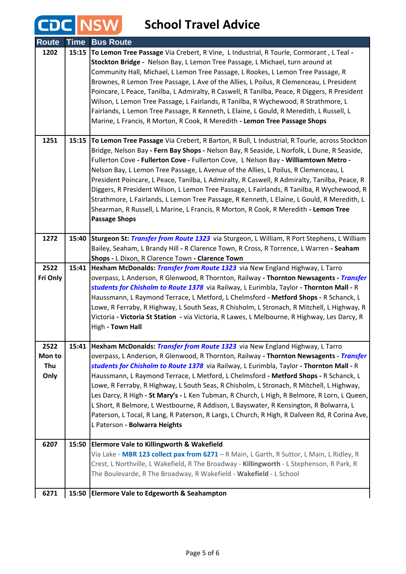| <b>Route</b>                  | <b>Time</b> | <b>Bus Route</b>                                                                                                                                                                                                                                                                                                                                                                                                                                                                                                                                                                                                                                                                                                                                                                     |
|-------------------------------|-------------|--------------------------------------------------------------------------------------------------------------------------------------------------------------------------------------------------------------------------------------------------------------------------------------------------------------------------------------------------------------------------------------------------------------------------------------------------------------------------------------------------------------------------------------------------------------------------------------------------------------------------------------------------------------------------------------------------------------------------------------------------------------------------------------|
| 1202                          | 15:15       | To Lemon Tree Passage Via Crebert, R Vine, L Industrial, R Tourle, Cormorant, L Teal -<br>Stockton Bridge - Nelson Bay, L Lemon Tree Passage, L Michael, turn around at<br>Community Hall, Michael, L Lemon Tree Passage, L Rookes, L Lemon Tree Passage, R<br>Brownes, R Lemon Tree Passage, L Ave of the Allies, L Poilus, R Clemenceau, L President<br>Poincare, L Peace, Tanilba, L Admiralty, R Caswell, R Tanilba, Peace, R Diggers, R President<br>Wilson, L Lemon Tree Passage, L Fairlands, R Tanilba, R Wychewood, R Strathmore, L<br>Fairlands, L Lemon Tree Passage, R Kenneth, L Elaine, L Gould, R Meredith, L Russell, L<br>Marine, L Francis, R Morton, R Cook, R Meredith - Lemon Tree Passage Shops                                                                |
| 1251                          | 15:15       | To Lemon Tree Passage Via Crebert, R Barton, R Bull, L Industrial, R Tourle, across Stockton<br>Bridge, Nelson Bay - Fern Bay Shops - Nelson Bay, R Seaside, L Norfolk, L Dune, R Seaside,<br>Fullerton Cove - Fullerton Cove - Fullerton Cove, L Nelson Bay - Williamtown Metro -<br>Nelson Bay, L Lemon Tree Passage, L Avenue of the Allies, L Poilus, R Clemenceau, L<br>President Poincare, L Peace, Tanilba, L Admiralty, R Caswell, R Admiralty, Tanilba, Peace, R<br>Diggers, R President Wilson, L Lemon Tree Passage, L Fairlands, R Tanilba, R Wychewood, R<br>Strathmore, L Fairlands, L Lemon Tree Passage, R Kenneth, L Elaine, L Gould, R Meredith, L<br>Shearman, R Russell, L Marine, L Francis, R Morton, R Cook, R Meredith - Lemon Tree<br><b>Passage Shops</b>  |
| 1272                          | 15:40       | Sturgeon St: Transfer from Route 1323 via Sturgeon, L William, R Port Stephens, L William<br>Bailey, Seaham, L Brandy Hill - R Clarence Town, R Cross, R Torrence, L Warren - Seaham<br>Shops - L Dixon, R Clarence Town - Clarence Town                                                                                                                                                                                                                                                                                                                                                                                                                                                                                                                                             |
| 2522<br>Fri Only              | 15:41       | Hexham McDonalds: Transfer from Route 1323 via New England Highway, L Tarro<br>overpass, L Anderson, R Glenwood, R Thornton, Railway - Thornton Newsagents - Transfer<br>students for Chisholm to Route 1378 via Railway, L Eurimbla, Taylor - Thornton Mall - R<br>Haussmann, L Raymond Terrace, L Metford, L Chelmsford - Metford Shops - R Schanck, L<br>Lowe, R Ferraby, R Highway, L South Seas, R Chisholm, L Stronach, R Mitchell, L Highway, R<br>Victoria - Victoria St Station - via Victoria, R Lawes, L Melbourne, R Highway, Les Darcy, R<br>High - Town Hall                                                                                                                                                                                                           |
| 2522<br>Mon to<br>Thu<br>Only |             | 15:41 Hexham McDonalds: Transfer from Route 1323 via New England Highway, L Tarro<br>overpass, L Anderson, R Glenwood, R Thornton, Railway - Thornton Newsagents - Transfer<br>students for Chisholm to Route 1378 via Railway, L Eurimbla, Taylor - Thornton Mall - R<br>Haussmann, L Raymond Terrace, L Metford, L Chelmsford - Metford Shops - R Schanck, L<br>Lowe, R Ferraby, R Highway, L South Seas, R Chisholm, L Stronach, R Mitchell, L Highway,<br>Les Darcy, R High - St Mary's - L Ken Tubman, R Church, L High, R Belmore, R Lorn, L Queen,<br>L Short, R Belmore, L Westbourne, R Addison, L Bayswater, R Kensington, R Bolwarra, L<br>Paterson, L Tocal, R Lang, R Paterson, R Largs, L Church, R High, R Dalveen Rd, R Corina Ave,<br>L Paterson - Bolwarra Heights |
| 6207                          | 15:50       | <b>Elermore Vale to Killingworth &amp; Wakefield</b><br>Via Lake - MBR 123 collect pax from 6271 - R Main, L Garth, R Suttor, L Main, L Ridley, R<br>Crest, L Northville, L Wakefield, R The Broadway - Killingworth - L Stephenson, R Park, R<br>The Boulevarde, R The Broadway, R Wakefield - Wakefield - L School                                                                                                                                                                                                                                                                                                                                                                                                                                                                 |
| 6271                          | 15:50       | <b>Elermore Vale to Edgeworth &amp; Seahampton</b>                                                                                                                                                                                                                                                                                                                                                                                                                                                                                                                                                                                                                                                                                                                                   |